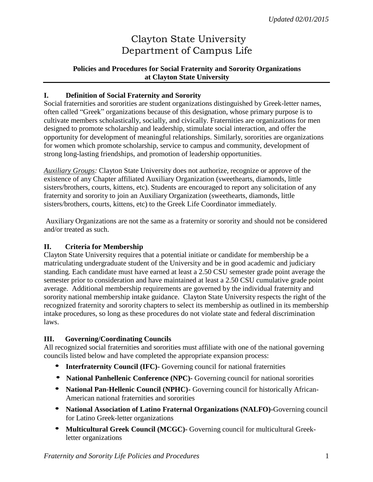# Clayton State University Department of Campus Life

## **Policies and Procedures for Social Fraternity and Sorority Organizations at Clayton State University**

#### **I. Definition of Social Fraternity and Sorority**

Social fraternities and sororities are student organizations distinguished by Greek-letter names, often called "Greek" organizations because of this designation, whose primary purpose is to cultivate members scholastically, socially, and civically. Fraternities are organizations for men designed to promote scholarship and leadership, stimulate social interaction, and offer the opportunity for development of meaningful relationships. Similarly, sororities are organizations for women which promote scholarship, service to campus and community, development of strong long-lasting friendships, and promotion of leadership opportunities.

*Auxiliary Groups:* Clayton State University does not authorize, recognize or approve of the existence of any Chapter affiliated Auxiliary Organization (sweethearts, diamonds, little sisters/brothers, courts, kittens, etc). Students are encouraged to report any solicitation of any fraternity and sorority to join an Auxiliary Organization (sweethearts, diamonds, little sisters/brothers, courts, kittens, etc) to the Greek Life Coordinator immediately.

Auxiliary Organizations are not the same as a fraternity or sorority and should not be considered and/or treated as such.

#### **II. Criteria for Membership**

Clayton State University requires that a potential initiate or candidate for membership be a matriculating undergraduate student of the University and be in good academic and judiciary standing. Each candidate must have earned at least a 2.50 CSU semester grade point average the semester prior to consideration and have maintained at least a 2.50 CSU cumulative grade point average. Additional membership requirements are governed by the individual fraternity and sorority national membership intake guidance. Clayton State University respects the right of the recognized fraternity and sorority chapters to select its membership as outlined in its membership intake procedures, so long as these procedures do not violate state and federal discrimination laws.

#### **III. Governing/Coordinating Councils**

All recognized social fraternities and sororities must affiliate with one of the national governing councils listed below and have completed the appropriate expansion process:

- **Interfraternity Council (IFC)-** Governing council for national fraternities
- **National Panhellenic Conference (NPC)-** Governing council for national sororities
- **National Pan-Hellenic Council (NPHC)-** Governing council for historically African-American national fraternities and sororities
- **National Association of Latino Fraternal Organizations (NALFO)-**Governing council for Latino Greek-letter organizations
- **Multicultural Greek Council (MCGC)-** Governing council for multicultural Greekletter organizations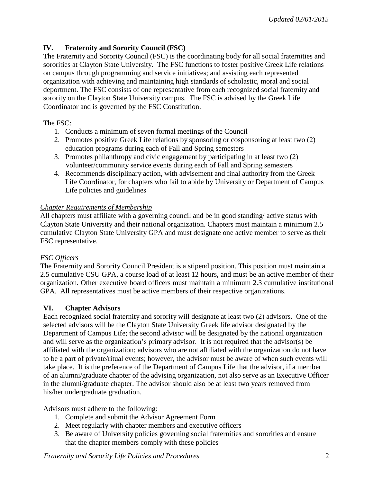## **IV. Fraternity and Sorority Council (FSC)**

The Fraternity and Sorority Council (FSC) is the coordinating body for all social fraternities and sororities at Clayton State University. The FSC functions to foster positive Greek Life relations on campus through programming and service initiatives; and assisting each represented organization with achieving and maintaining high standards of scholastic, moral and social deportment. The FSC consists of one representative from each recognized social fraternity and sorority on the Clayton State University campus. The FSC is advised by the Greek Life Coordinator and is governed by the FSC Constitution.

The FSC:

- 1. Conducts a minimum of seven formal meetings of the Council
- 2. Promotes positive Greek Life relations by sponsoring or cosponsoring at least two (2) education programs during each of Fall and Spring semesters
- 3. Promotes philanthropy and civic engagement by participating in at least two (2) volunteer/community service events during each of Fall and Spring semesters
- 4. Recommends disciplinary action, with advisement and final authority from the Greek Life Coordinator, for chapters who fail to abide by University or Department of Campus Life policies and guidelines

## *Chapter Requirements of Membership*

All chapters must affiliate with a governing council and be in good standing/ active status with Clayton State University and their national organization. Chapters must maintain a minimum 2.5 cumulative Clayton State University GPA and must designate one active member to serve as their FSC representative.

## *FSC Officers*

The Fraternity and Sorority Council President is a stipend position. This position must maintain a 2.5 cumulative CSU GPA, a course load of at least 12 hours, and must be an active member of their organization. Other executive board officers must maintain a minimum 2.3 cumulative institutional GPA. All representatives must be active members of their respective organizations.

## **VI. Chapter Advisors**

Each recognized social fraternity and sorority will designate at least two (2) advisors. One of the selected advisors will be the Clayton State University Greek life advisor designated by the Department of Campus Life; the second advisor will be designated by the national organization and will serve as the organization's primary advisor. It is not required that the advisor(s) be affiliated with the organization; advisors who are not affiliated with the organization do not have to be a part of private/ritual events; however, the advisor must be aware of when such events will take place. It is the preference of the Department of Campus Life that the advisor, if a member of an alumni/graduate chapter of the advising organization, not also serve as an Executive Officer in the alumni/graduate chapter. The advisor should also be at least two years removed from his/her undergraduate graduation.

Advisors must adhere to the following:

- 1. Complete and submit the Advisor Agreement Form
- 2. Meet regularly with chapter members and executive officers
- 3. Be aware of University policies governing social fraternities and sororities and ensure that the chapter members comply with these policies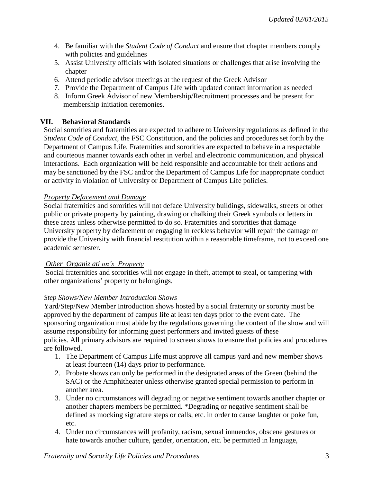- 4. Be familiar with the *Student Code of Conduct* and ensure that chapter members comply with policies and guidelines
- 5. Assist University officials with isolated situations or challenges that arise involving the chapter
- 6. Attend periodic advisor meetings at the request of the Greek Advisor
- 7. Provide the Department of Campus Life with updated contact information as needed
- 8. Inform Greek Advisor of new Membership/Recruitment processes and be present for membership initiation ceremonies.

## **VII. Behavioral Standards**

Social sororities and fraternities are expected to adhere to University regulations as defined in the *Student Code of Conduct*, the FSC Constitution, and the policies and procedures set forth by the Department of Campus Life. Fraternities and sororities are expected to behave in a respectable and courteous manner towards each other in verbal and electronic communication, and physical interactions. Each organization will be held responsible and accountable for their actions and may be sanctioned by the FSC and/or the Department of Campus Life for inappropriate conduct or activity in violation of University or Department of Campus Life policies.

#### *Property Defacement and Damage*

Social fraternities and sororities will not deface University buildings, sidewalks, streets or other public or private property by painting, drawing or chalking their Greek symbols or letters in these areas unless otherwise permitted to do so. Fraternities and sororities that damage University property by defacement or engaging in reckless behavior will repair the damage or provide the University with financial restitution within a reasonable timeframe, not to exceed one academic semester.

#### *Other Organiz ati on's Property*

Social fraternities and sororities will not engage in theft, attempt to steal, or tampering with other organizations' property or belongings.

## *Step Shows/New Member Introduction Shows*

Yard/Step/New Member Introduction shows hosted by a social fraternity or sorority must be approved by the department of campus life at least ten days prior to the event date. The sponsoring organization must abide by the regulations governing the content of the show and will assume responsibility for informing guest performers and invited guests of these policies. All primary advisors are required to screen shows to ensure that policies and procedures are followed.

- 1. The Department of Campus Life must approve all campus yard and new member shows at least fourteen (14) days prior to performance.
- 2. Probate shows can only be performed in the designated areas of the Green (behind the SAC) or the Amphitheater unless otherwise granted special permission to perform in another area.
- 3. Under no circumstances will degrading or negative sentiment towards another chapter or another chapters members be permitted. \*Degrading or negative sentiment shall be defined as mocking signature steps or calls, etc. in order to cause laughter or poke fun, etc.
- 4. Under no circumstances will profanity, racism, sexual innuendos, obscene gestures or hate towards another culture, gender, orientation, etc. be permitted in language,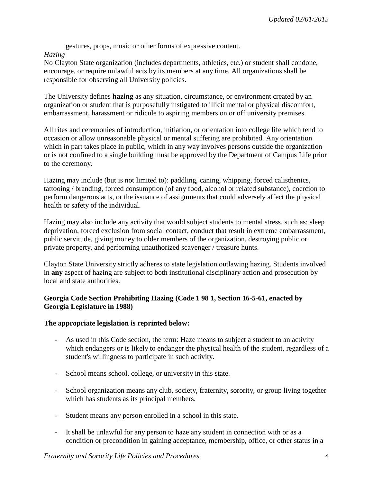gestures, props, music or other forms of expressive content.

#### *Hazing*

No Clayton State organization (includes departments, athletics, etc.) or student shall condone, encourage, or require unlawful acts by its members at any time. All organizations shall be responsible for observing all University policies.

The University defines **hazing** as any situation, circumstance, or environment created by an organization or student that is purposefully instigated to illicit mental or physical discomfort, embarrassment, harassment or ridicule to aspiring members on or off university premises.

All rites and ceremonies of introduction, initiation, or orientation into college life which tend to occasion or allow unreasonable physical or mental suffering are prohibited. Any orientation which in part takes place in public, which in any way involves persons outside the organization or is not confined to a single building must be approved by the Department of Campus Life prior to the ceremony.

Hazing may include (but is not limited to): paddling, caning, whipping, forced calisthenics, tattooing / branding, forced consumption (of any food, alcohol or related substance), coercion to perform dangerous acts, or the issuance of assignments that could adversely affect the physical health or safety of the individual.

Hazing may also include any activity that would subject students to mental stress, such as: sleep deprivation, forced exclusion from social contact, conduct that result in extreme embarrassment, public servitude, giving money to older members of the organization, destroying public or private property, and performing unauthorized scavenger / treasure hunts.

Clayton State University strictly adheres to state legislation outlawing hazing. Students involved in **any** aspect of hazing are subject to both institutional disciplinary action and prosecution by local and state authorities.

## **Georgia Code Section Prohibiting Hazing (Code 1 98 1, Section 16-5-61, enacted by Georgia Legislature in 1988)**

#### **The appropriate legislation is reprinted below:**

- As used in this Code section, the term: Haze means to subject a student to an activity which endangers or is likely to endanger the physical health of the student, regardless of a student's willingness to participate in such activity.
- School means school, college, or university in this state.
- School organization means any club, society, fraternity, sorority, or group living together which has students as its principal members.
- Student means any person enrolled in a school in this state.
- It shall be unlawful for any person to haze any student in connection with or as a condition or precondition in gaining acceptance, membership, office, or other status in a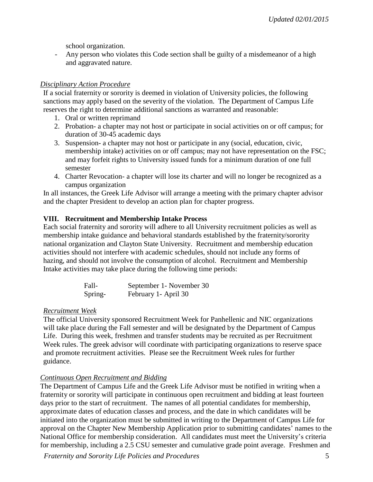school organization.

- Any person who violates this Code section shall be guilty of a misdemeanor of a high and aggravated nature.

## *Disciplinary Action Procedure*

If a social fraternity or sorority is deemed in violation of University policies, the following sanctions may apply based on the severity of the violation. The Department of Campus Life reserves the right to determine additional sanctions as warranted and reasonable:

- 1. Oral or written reprimand
- 2. Probation- a chapter may not host or participate in social activities on or off campus; for duration of 30-45 academic days
- 3. Suspension- a chapter may not host or participate in any (social, education, civic, membership intake) activities on or off campus; may not have representation on the FSC; and may forfeit rights to University issued funds for a minimum duration of one full semester
- 4. Charter Revocation- a chapter will lose its charter and will no longer be recognized as a campus organization

In all instances, the Greek Life Advisor will arrange a meeting with the primary chapter advisor and the chapter President to develop an action plan for chapter progress.

## **VIII. Recruitment and Membership Intake Process**

Each social fraternity and sorority will adhere to all University recruitment policies as well as membership intake guidance and behavioral standards established by the fraternity/sorority national organization and Clayton State University. Recruitment and membership education activities should not interfere with academic schedules, should not include any forms of hazing, and should not involve the consumption of alcohol. Recruitment and Membership Intake activities may take place during the following time periods:

| Fall-   | September 1 - November 30 |
|---------|---------------------------|
| Spring- | February 1 - April 30     |

## *Recruitment Week*

The official University sponsored Recruitment Week for Panhellenic and NIC organizations will take place during the Fall semester and will be designated by the Department of Campus Life. During this week, freshmen and transfer students may be recruited as per Recruitment Week rules. The greek advisor will coordinate with participating organizations to reserve space and promote recruitment activities. Please see the Recruitment Week rules for further guidance.

## *Continuous Open Recruitment and Bidding*

The Department of Campus Life and the Greek Life Advisor must be notified in writing when a fraternity or sorority will participate in continuous open recruitment and bidding at least fourteen days prior to the start of recruitment. The names of all potential candidates for membership, approximate dates of education classes and process, and the date in which candidates will be initiated into the organization must be submitted in writing to the Department of Campus Life for approval on the Chapter New Membership Application prior to submitting candidates' names to the National Office for membership consideration. All candidates must meet the University's criteria for membership, including a 2.5 CSU semester and cumulative grade point average. Freshmen and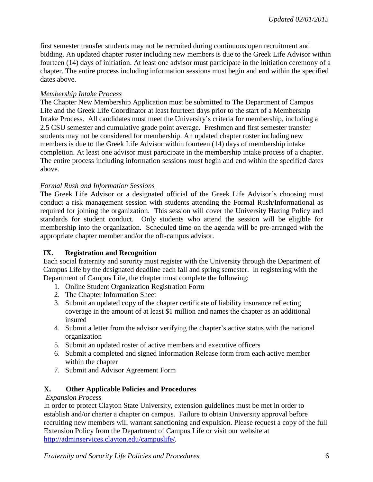first semester transfer students may not be recruited during continuous open recruitment and bidding. An updated chapter roster including new members is due to the Greek Life Advisor within fourteen (14) days of initiation. At least one advisor must participate in the initiation ceremony of a chapter. The entire process including information sessions must begin and end within the specified dates above.

#### *Membership Intake Process*

The Chapter New Membership Application must be submitted to The Department of Campus Life and the Greek Life Coordinator at least fourteen days prior to the start of a Membership Intake Process. All candidates must meet the University's criteria for membership, including a 2.5 CSU semester and cumulative grade point average. Freshmen and first semester transfer students may not be considered for membership. An updated chapter roster including new members is due to the Greek Life Advisor within fourteen (14) days of membership intake completion. At least one advisor must participate in the membership intake process of a chapter. The entire process including information sessions must begin and end within the specified dates above.

#### *Formal Rush and Information Sessions*

The Greek Life Advisor or a designated official of the Greek Life Advisor's choosing must conduct a risk management session with students attending the Formal Rush/Informational as required for joining the organization. This session will cover the University Hazing Policy and standards for student conduct. Only students who attend the session will be eligible for membership into the organization. Scheduled time on the agenda will be pre-arranged with the appropriate chapter member and/or the off-campus advisor.

## **IX. Registration and Recognition**

Each social fraternity and sorority must register with the University through the Department of Campus Life by the designated deadline each fall and spring semester. In registering with the Department of Campus Life, the chapter must complete the following:

- 1. Online Student Organization Registration Form
- 2. The Chapter Information Sheet
- 3. Submit an updated copy of the chapter certificate of liability insurance reflecting coverage in the amount of at least \$1 million and names the chapter as an additional insured
- 4. Submit a letter from the advisor verifying the chapter's active status with the national organization
- 5. Submit an updated roster of active members and executive officers
- 6. Submit a completed and signed Information Release form from each active member within the chapter
- 7. Submit and Advisor Agreement Form

## **X. Other Applicable Policies and Procedures**

#### *Expansion Process*

In order to protect Clayton State University, extension guidelines must be met in order to establish and/or charter a chapter on campus. Failure to obtain University approval before recruiting new members will warrant sanctioning and expulsion. Please request a copy of the full Extension Policy from the Department of Campus Life or visit our website at [http://adminservices.clayton.edu/campuslife/.](http://adminservices.clayton.edu/campuslife/)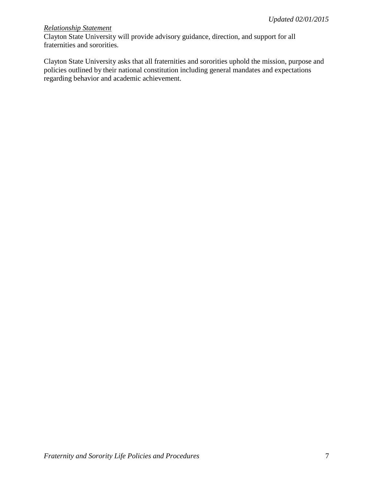#### *Relationship Statement*

Clayton State University will provide advisory guidance, direction, and support for all fraternities and sororities.

Clayton State University asks that all fraternities and sororities uphold the mission, purpose and policies outlined by their national constitution including general mandates and expectations regarding behavior and academic achievement.